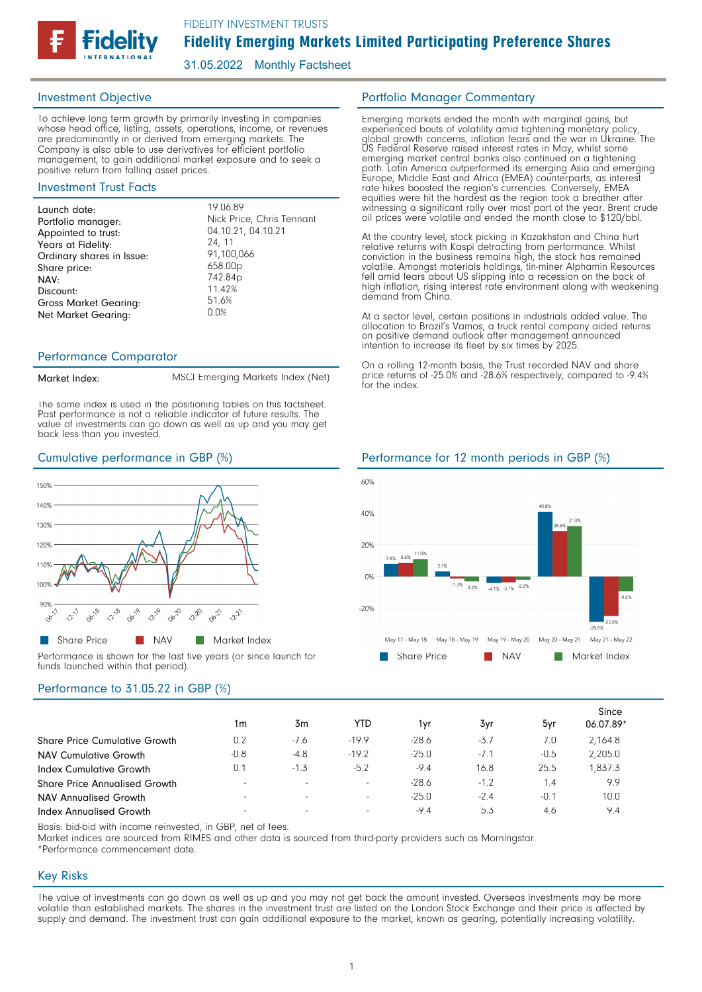

31.05.2022 Monthly Factsheet

## Investment Objective

To achieve long term growth by primarily investing in companies whose head office, listing, assets, operations, income, or revenues are predominantly in or derived from emerging markets. The Company is also able to use derivatives for efficient portfolio management, to gain additional market exposure and to seek a positive return from falling asset prices.

## Investment Trust Facts

| 24, 11<br>Years at Fidelity:<br>91,100,066<br>Ordinary shares in Issue:<br>658.00p<br>Share price:<br>742.84p<br>NAV:<br>11.42%<br>Discount:<br>51.6%<br><b>Gross Market Gearing:</b><br>0.0% |  |
|-----------------------------------------------------------------------------------------------------------------------------------------------------------------------------------------------|--|
| <b>Net Market Gearing:</b>                                                                                                                                                                    |  |

## Performance Comparator

#### Market Index:

MSCI Emerging Markets Index (Net)

The same index is used in the positioning tables on this factsheet. Past performance is not a reliable indicator of future results. The value of investments can go down as well as up and you may get back less than you invested.



Performance is shown for the last five years (or since launch for funds launched within that period).

# Performance to 31.05.22 in GBP (%)

|                                      | 1m                       | 3m                       | YTD                      | 1yr     | 3yr    | 5yr    | Since<br>06.07.89* |
|--------------------------------------|--------------------------|--------------------------|--------------------------|---------|--------|--------|--------------------|
| <b>Share Price Cumulative Growth</b> | 0.2                      | $-7.6$                   | $-19.9$                  | $-28.6$ | $-3.7$ | 7.0    | 2,164.8            |
| <b>NAV Cumulative Growth</b>         | $-0.8$                   | $-4.8$                   | $-19.2$                  | $-25.0$ | $-7.1$ | $-0.5$ | 2,205.0            |
| Index Cumulative Growth              | 0.1                      | $-1.3$                   | $-5.2$                   | $-9.4$  | 16.8   | 25.5   | .837.3             |
| <b>Share Price Annualised Growth</b> | $\overline{\phantom{a}}$ | $\overline{\phantom{a}}$ | $\overline{\phantom{a}}$ | $-28.6$ | $-1.2$ | 1.4    | 9.9                |
| NAV Annualised Growth                | $\overline{\phantom{a}}$ | $\overline{\phantom{a}}$ | $\overline{\phantom{a}}$ | $-25.0$ | $-2.4$ | $-0.1$ | 10.0               |
| Index Annualised Growth              | $\overline{\phantom{a}}$ | $\overline{\phantom{a}}$ | $\overline{\phantom{a}}$ | $-9.4$  | 5.3    | 4.6    | 9.4                |

Basis: bid-bid with income reinvested, in GBP, net of fees.

Market indices are sourced from RIMES and other data is sourced from third-party providers such as Morningstar.

\*Performance commencement date.

## Key Risks

The value of investments can go down as well as up and you may not get back the amount invested. Overseas investments may be more volatile than established markets. The shares in the investment trust are listed on the London Stock Exchange and their price is affected by supply and demand. The investment trust can gain additional exposure to the market, known as gearing, potentially increasing volatility.

## Portfolio Manager Commentary

Emerging markets ended the month with marginal gains, but experienced bouts of volatility amid tightening monetary policy, global growth concerns, inflation fears and the war in Ukraine. The US Federal Reserve raised interest rates in May, whilst some emerging market central banks also continued on a tightening path. Latin America outperformed its emerging Asia and emerging Europe, Middle East and Africa (EMEA) counterparts, as interest rate hikes boosted the region's currencies. Conversely, EMEA equities were hit the hardest as the region took a breather after witnessing a significant rally over most part of the year. Brent crude oil prices were volatile and ended the month close to \$120/bbl.

At the country level, stock picking in Kazakhstan and China hurt relative returns with Kaspi detracting from performance. Whilst conviction in the business remains high, the stock has remained volatile. Amongst materials holdings, tin-miner Alphamin Resources fell amid fears about US slipping into a recession on the back of high inflation, rising interest rate environment along with weakening demand from China.

At a sector level, certain positions in industrials added value. The allocation to Brazil's Vamos, a truck rental company aided returns on positive demand outlook after management announced intention to increase its fleet by six times by 2025.

On a rolling 12-month basis, the Trust recorded NAV and share price returns of -25.0% and -28.6% respectively, compared to -9.4% for the index.

## Cumulative performance in GBP (%) Performance for 12 month periods in GBP (%)

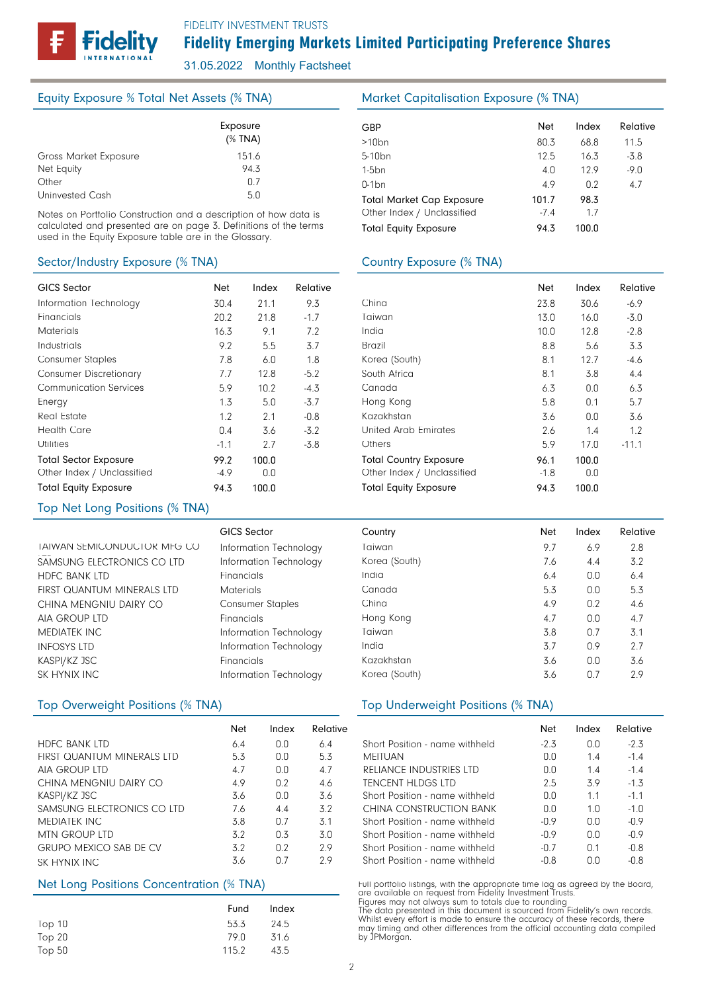# Fidelity Emerging Markets Limited Participating Preference Shares

31.05.2022 Monthly Factsheet

## Equity Exposure % Total Net Assets (% TNA)

|                       | Exposure<br>$(%$ (% TNA) |  |
|-----------------------|--------------------------|--|
| Gross Market Exposure | 151.6                    |  |
| Net Equity            | 943                      |  |
| Other                 | በ 7                      |  |
| Uninvested Cash       | 5.0                      |  |

Notes on Portfolio Construction and a description of how data is calculated and presented are on page 3. Definitions of the terms used in the Equity Exposure table are in the Glossary.

## Sector/Industry Exposure (% TNA)

| <b>GICS Sector</b>            | <b>Net</b> | Index | Relative |
|-------------------------------|------------|-------|----------|
| Information Technology        | 30.4       | 21.1  | 9.3      |
| Financials                    | 20.2       | 21.8  | $-1.7$   |
| <b>Materials</b>              | 16.3       | 9.1   | 7.2      |
| Industrials                   | 9.2        | 5.5   | 3.7      |
| <b>Consumer Staples</b>       | 7.8        | 6.0   | 1.8      |
| <b>Consumer Discretionary</b> | 7.7        | 12.8  | $-5.2$   |
| <b>Communication Services</b> | 5.9        | 10.2  | $-4.3$   |
| Energy                        | 1.3        | 5.0   | $-3.7$   |
| Real Estate                   | 1.2        | 2.1   | $-0.8$   |
| <b>Health Care</b>            | 0.4        | 3.6   | $-3.2$   |
| <b>Utilities</b>              | $-1.1$     | 2.7   | $-3.8$   |
| <b>Total Sector Exposure</b>  | 99.2       | 100.0 |          |
| Other Index / Unclassified    | -4.9       | 0.0   |          |
| <b>Total Equity Exposure</b>  | 94.3       | 100.0 |          |

## Top Net Long Positions (% TNA)

| <b>GICS Sector</b>      | Countr  |
|-------------------------|---------|
| Information Technology  | Taiwan  |
| Information Technology  | Korea ( |
| Financials              | India   |
| <b>Materials</b>        | Canad   |
| <b>Consumer Staples</b> | China   |
| Financials              | Hong k  |
| Information Technology  | Taiwan  |
| Information Technology  | India   |
| Financials              | Kazakh  |
| Information Technology  | Korea   |
|                         |         |

|                               | Net | Index | Relative        |
|-------------------------------|-----|-------|-----------------|
| <b>HDFC BANK LTD</b>          | 64  | n n   | 6.4             |
| FIRST QUANTUM MINERALS LTD    | 53  | n n   | 5.3             |
| AIA GROUP LTD                 | 47  | n n   | 4.7             |
| CHINA MENGNIU DAIRY CO        | 49  | 0.2   | 46              |
| KASPI/KZ JSC                  | 36  | n n   | 3.6             |
| SAMSUNG ELECTRONICS CO LTD    | 76  | 44    | 3.2             |
| <b>MEDIATEK INC</b>           | 38  | n 7   | $\overline{3}1$ |
| MTN GROUP LTD                 | 32  | 0.3   | 3 O             |
| <b>GRUPO MEXICO SAB DE CV</b> | 32  | 0.2   | 29              |
| SK HYNIX INC.                 | 36  | በ 7   | 29              |

## Net Long Positions Concentration (% TNA)

|          | Fund  | Index |
|----------|-------|-------|
| Top $10$ | 53.3  | -24.5 |
| Top 20   | 79 N  | 31.6  |
| Top $50$ | 115.2 | 43.5  |

## Market Capitalisation Exposure (% TNA)

| GBP                              | <b>Net</b> | Index | Relative |
|----------------------------------|------------|-------|----------|
| $>10$ bn                         | 80.3       | 68.8  | 11.5     |
| 5-10 <sub>bn</sub>               | 12.5       | 16.3  | $-3.8$   |
| $1-5$ bn                         | 4.0        | 129   | $-9.0$   |
| $0-1$ bn                         | 4.9        | 0.2   | 4.7      |
| <b>Total Market Cap Exposure</b> | 101.7      | 98.3  |          |
| Other Index / Unclassified       | $-7.4$     | 1.7   |          |
| <b>Total Equity Exposure</b>     | 94.3       | 100.0 |          |

## Country Exposure (% TNA)

|                               | Net  | Index | Relative |
|-------------------------------|------|-------|----------|
| China                         | 23.8 | 30.6  | -6.9     |
| Taiwan                        | 13.0 | 16.0  | $-3.0$   |
| India                         | 10.0 | 12.8  | $-2.8$   |
| Brazil                        | 8.8  | 5.6   | 3.3      |
| Korea (South)                 | 8.1  | 12.7  | $-4.6$   |
| South Africa                  | 8.1  | 3.8   | 4.4      |
| Canada                        | 6.3  | 0.0   | 6.3      |
| Hong Kong                     | 5.8  | 0.1   | 5.7      |
| Kazakhstan                    | 3.6  | 0.0   | 3.6      |
| United Arab Emirates          | 2.6  | 1.4   | 1.2      |
| Others                        | 5.9  | 17.0  | $-11.1$  |
| <b>Total Country Exposure</b> | 96.1 | 100.0 |          |
| Other Index / Unclassified    | -1.8 | 0.0   |          |
| <b>Total Equity Exposure</b>  | 94.3 | 100.0 |          |

|                             | <b>GICS Sector</b>      | Country       | <b>Net</b> | Index | Relative |
|-----------------------------|-------------------------|---------------|------------|-------|----------|
| TAIWAN SEMICONDUCTOR MFG CO | Information Technology  | Taiwan        | 9.7        | 6.9   | 2.8      |
| SAMSUNG ELECTRONICS CO LTD  | Information Technology  | Korea (South) | 7.6        | 4.4   | 3.2      |
| <b>HDFC BANK LTD</b>        | Financials              | India         | 6.4        | 0.0   | 6.4      |
| FIRST QUANTUM MINERALS LTD  | <b>Materials</b>        | Canada        | 5.3        | 0.0   | 5.3      |
| CHINA MENGNIU DAIRY CO      | <b>Consumer Staples</b> | China         | 4.9        | 0.2   | 4.6      |
| AIA GROUP LTD               | Financials              | Hong Kong     | 4.7        | 0.0   | 4.7      |
| MEDIATEK INC                | Information Technology  | Taiwan        | 3.8        | 0.7   | 3.1      |
| INFOSYS LTD                 | Information Technology  | India         | 3.7        | 0.9   | 2.7      |
| KASPI/KZ JSC                | Financials              | Kazakhstan    | 3.6        | 0.0   | 3.6      |
| SK HYNIX INC                | Information Technology  | Korea (South) | 3.6        | 0.7   | 2.9      |

## Top Overweight Positions (% TNA) Top Underweight Positions (% TNA)

|                                | <b>Net</b> | Index          | Relative |
|--------------------------------|------------|----------------|----------|
| Short Position - name withheld | $-2.3$     | 0.0            | $-2.3$   |
| <b>MEITUAN</b>                 | n n        | 14             | $-14$    |
| RELIANCE INDUSTRIES LTD        | n n        | 14             | $-1.4$   |
| TENCENT HLDGS LTD              | 2.5        | 39             | $-1.3$   |
| Short Position - name withheld | 0.0        | 11             | $-1.1$   |
| CHINA CONSTRUCTION BANK        | n n        | 1 <sub>0</sub> | $-1.0$   |
| Short Position - name withheld | $-09$      | n n            | $-0.9$   |
| Short Position - name withheld | $-0.9$     | 0.0            | $-0.9$   |
| Short Position - name withheld | $-0.7$     | 0 <sub>1</sub> | $-0.8$   |
| Short Position - name withheld | -0.8       | ΩO             | $-0.8$   |

Full portfolio listings, with the appropriate time lag as agreed by the Board, are available on request from Fidelity Investment Trusts.

Figures may not always sum to totals due to rounding<br>The data presented in this document is sourced from Fidelity's own records.<br>Whilst every effort is made to ensure the accuracy of these records, there<br>may timing and oth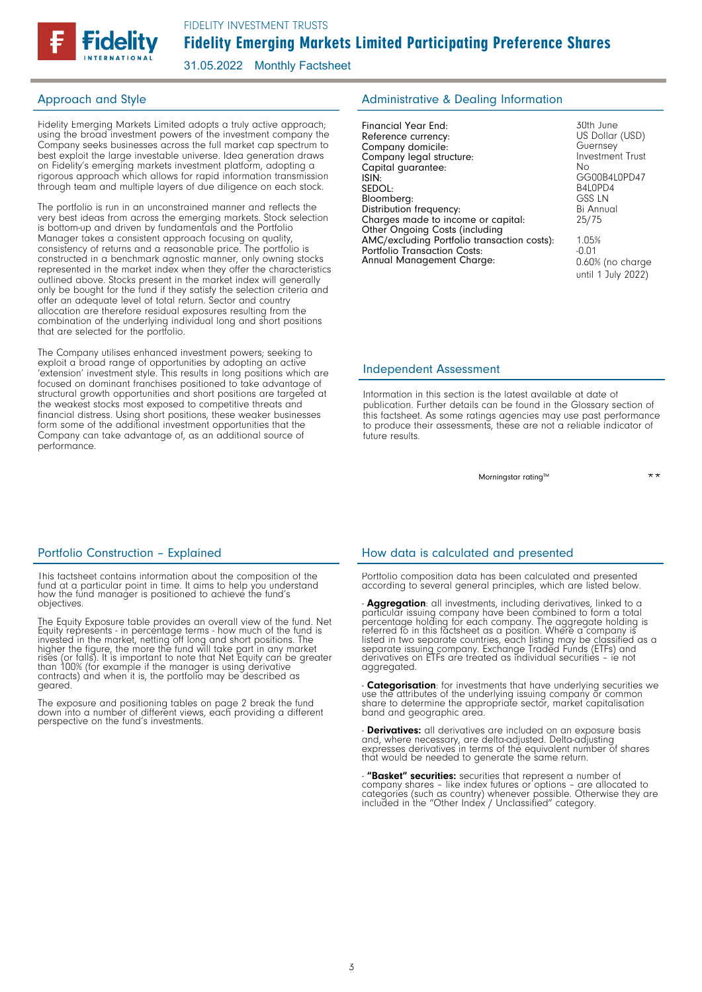

31.05.2022 Monthly Factsheet

Fidelity Emerging Markets Limited adopts a truly active approach; using the broad investment powers of the investment company the Company seeks businesses across the full market cap spectrum to best exploit the large investable universe. Idea generation draws on Fidelity's emerging markets investment platform, adopting a rigorous approach which allows for rapid information transmission through team and multiple layers of due diligence on each stock.

The portfolio is run in an unconstrained manner and reflects the very best ideas from across the emerging markets. Stock selection is bottom-up and driven by fundamentals and the Portfolio Manager takes a consistent approach focusing on quality, consistency of returns and a reasonable price. The portfolio is constructed in a benchmark agnostic manner, only owning stocks represented in the market index when they offer the characteristics outlined above. Stocks present in the market index will generally only be bought for the fund if they satisfy the selection criteria and offer an adequate level of total return. Sector and country allocation are therefore residual exposures resulting from the combination of the underlying individual long and short positions that are selected for the portfolio.

The Company utilises enhanced investment powers; seeking to exploit a broad range of opportunities by adopting an active 'extension' investment style. This results in long positions which are focused on dominant franchises positioned to take advantage of structural growth opportunities and short positions are targeted at the weakest stocks most exposed to competitive threats and financial distress. Using short positions, these weaker businesses form some of the additional investment opportunities that the Company can take advantage of, as an additional source of performance.

## Approach and Style **Administrative & Dealing Information**

| Financial Year End:                         | 30th June               |
|---------------------------------------------|-------------------------|
| Reference currency:                         | US Dollar (USD)         |
| Company domicile:                           | Guernsey                |
| Company legal structure:                    | <b>Investment Trust</b> |
| Capital quarantee:                          | N٥                      |
| ISIN:                                       | GG00B4L0PD47            |
| SEDOL:                                      | B4L0PD4                 |
| Bloomberg:                                  | <b>GSS LN</b>           |
| Distribution frequency:                     | Bi Annual               |
| Charges made to income or capital:          | 25/75                   |
| Other Ongoing Costs (including              |                         |
| AMC/excluding Portfolio transaction costs): | 1.05%                   |
| <b>Portfolio Transaction Costs:</b>         | $-0.01$                 |
| Annual Management Charge:                   | 0.60% (no charge        |
|                                             | until 1 July 2022)      |

## Independent Assessment

Information in this section is the latest available at date of publication. Further details can be found in the Glossary section of this factsheet. As some ratings agencies may use past performance to produce their assessments, these are not a reliable indicator of future results.

Morningstar rating<sup>™</sup>

\*\*

This factsheet contains information about the composition of the fund at a particular point in time. It aims to help you understand how the fund manager is positioned to achieve the fund's objectives.

The Equity Exposure table provides an overall view of the fund. Net<br>Equity represents - in percentage terms - how much of the fund is<br>invested in the market, netting off long and short positions. The<br>higher the figure, the contracts) and when it is, the portfolio may be described as geared.

The exposure and positioning tables on page 2 break the fund down into a number of different views, each providing a different perspective on the fund's investments.

## Portfolio Construction - Explained How data is calculated and presented

Portfolio composition data has been calculated and presented according to several general principles, which are listed below.

- **Aggregation**: all investments, including derivatives, linked to a particular issuing company have been combined to form a total percentage holding for each company. The aggregate holding is referred to in this factsheet aggregated.

- **Categorisation**: for investments that have underlying securities we use the attributes of the underlying issuing company or common share to determine the appropriate sector, market capitalisation band and geographic area.

- **Derivatives:** all derivatives are included on an exposure basis and, where necessary, are delta-adjusted. Delta-adjusting expresses derivatives in terms of the equivalent number of shares that would be needed to generate the same return.

- **"Basket" securities:** securities that represent a number of<br>company shares - like index futures or options - are allocated to<br>categories (such as country) whenever possible. Otherwise they are<br>included in the "Other Ind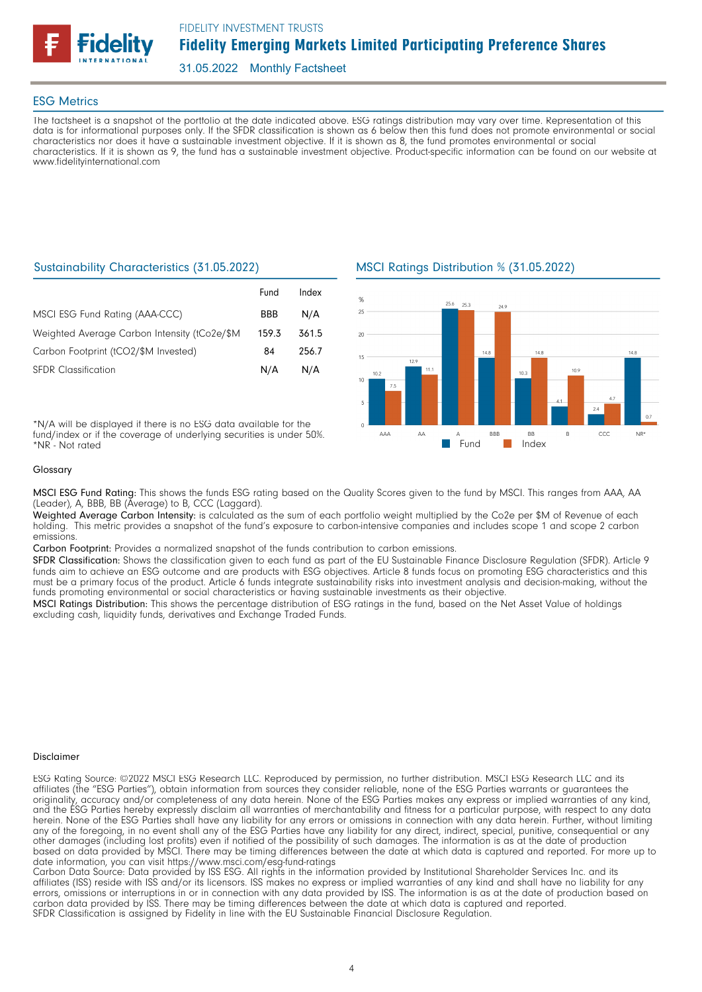

## ESG Metrics

The factsheet is a snapshot of the portfolio at the date indicated above. ESG ratings distribution may vary over time. Representation of this data is for informational purposes only. If the SFDR classification is shown as 6 below then this fund does not promote environmental or social characteristics nor does it have a sustainable investment objective. If it is shown as 8, the fund promotes environmental or social characteristics. If it is shown as 9, the fund has a sustainable investment objective. Product-specific information can be found on our website at www.fidelityinternational.com

## Sustainability Characteristics (31.05.2022)

|                                               | Fund       | Index |
|-----------------------------------------------|------------|-------|
| MSCI ESG Fund Rating (AAA-CCC)                | <b>BBB</b> | N/A   |
| Weighted Average Carbon Intensity (tCo2e/\$M) | 159.3      | 361.5 |
| Carbon Footprint (tCO2/\$M Invested)          | 84         | 256.7 |
| <b>SFDR Classification</b>                    | N/A        | N/A   |

\*N/A will be displayed if there is no ESG data available for the fund/index or if the coverage of underlying securities is under 50%. \*NR - Not rated

## MSCI Ratings Distribution % (31.05.2022)



#### Glossary

MSCI ESG Fund Rating: This shows the funds ESG rating based on the Quality Scores given to the fund by MSCI. This ranges from AAA, AA (Leader), A, BBB, BB (Average) to B, CCC (Laggard).

Weighted Average Carbon Intensity: is calculated as the sum of each portfolio weight multiplied by the Co2e per \$M of Revenue of each holding. This metric provides a snapshot of the fund's exposure to carbon-intensive companies and includes scope 1 and scope 2 carbon emissions.

Carbon Footprint: Provides a normalized snapshot of the funds contribution to carbon emissions.

SFDR Classification: Shows the classification given to each fund as part of the EU Sustainable Finance Disclosure Regulation (SFDR). Article 9 funds aim to achieve an ESG outcome and are products with ESG objectives. Article 8 funds focus on promoting ESG characteristics and this must be a primary focus of the product. Article 6 funds integrate sustainability risks into investment analysis and decision-making, without the funds promoting environmental or social characteristics or having sustainable investments as their objective.

MSCI Ratings Distribution: This shows the percentage distribution of ESG ratings in the fund, based on the Net Asset Value of holdings excluding cash, liquidity funds, derivatives and Exchange Traded Funds.

#### **Disclaimer**

ESG Rating Source: ©2022 MSCI ESG Research LLC. Reproduced by permission, no further distribution. MSCI ESG Research LLC and its affiliates (the "ESG Parties"), obtain information from sources they consider reliable, none of the ESG Parties warrants or guarantees the originality, accuracy and/or completeness of any data herein. None of the ESG Parties makes any express or implied warranties of any kind, and the ESG Parties hereby expressly disclaim all warranties of merchantability and fitness for a particular purpose, with respect to any data herein. None of the ESG Parties shall have any liability for any errors or omissions in connection with any data herein. Further, without limiting any of the foregoing, in no event shall any of the ESG Parties have any liability for any direct, indirect, special, punitive, consequential or any other damages (including lost profits) even if notified of the possibility of such damages. The information is as at the date of production based on data provided by MSCI. There may be timing differences between the date at which data is captured and reported. For more up to date information, you can visit https://www.msci.com/esg-fund-ratings

Carbon Data Source: Data provided by ISS ESG. All rights in the information provided by Institutional Shareholder Services Inc. and its affiliates (ISS) reside with ISS and/or its licensors. ISS makes no express or implied warranties of any kind and shall have no liability for any errors, omissions or interruptions in or in connection with any data provided by ISS. The information is as at the date of production based on carbon data provided by ISS. There may be timing differences between the date at which data is captured and reported. SFDR Classification is assigned by Fidelity in line with the EU Sustainable Financial Disclosure Regulation.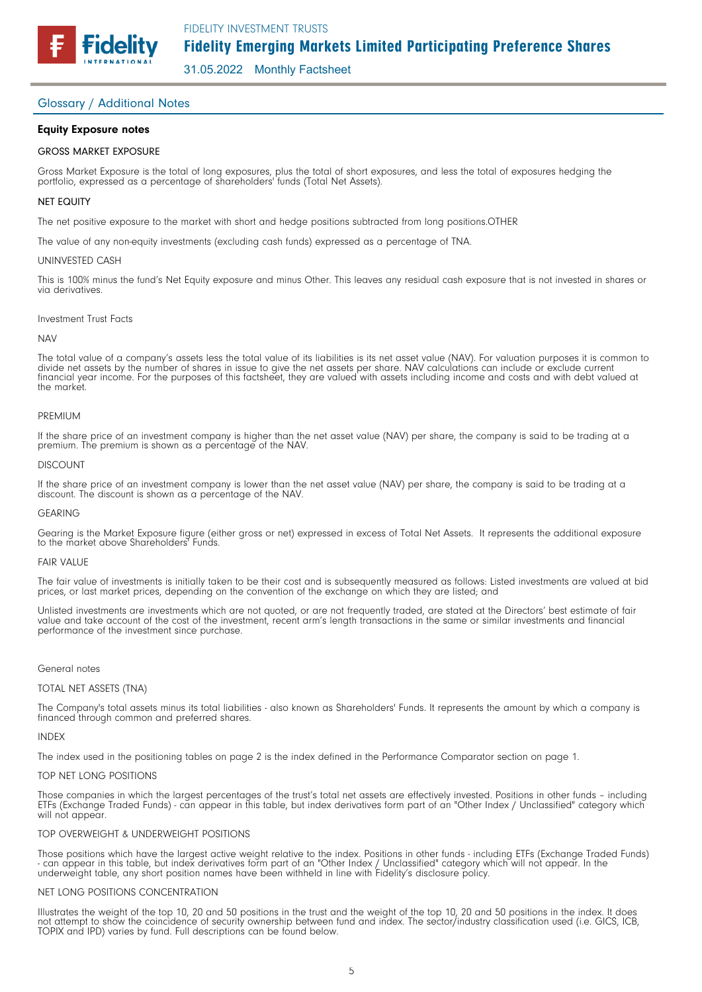31.05.2022 Monthly Factsheet

## Glossary / Additional Notes

**Fidelity** 

## Equity Exposure notes

### GROSS MARKET EXPOSURE

Gross Market Exposure is the total of long exposures, plus the total of short exposures, and less the total of exposures hedging the portfolio, expressed as a percentage of shareholders' funds (Total Net Assets).

### NET EQUITY

The net positive exposure to the market with short and hedge positions subtracted from long positions.OTHER

The value of any non-equity investments (excluding cash funds) expressed as a percentage of TNA.

#### UNINVESTED CASH

This is 100% minus the fund's Net Equity exposure and minus Other. This leaves any residual cash exposure that is not invested in shares or via derivatives.

#### Investment Trust Facts

#### **NAV**

The total value of a company's assets less the total value of its liabilities is its net asset value (NAV). For valuation purposes it is common to divide net assets by the number of shares in issue to give the net assets per share. NAV calculations can include or exclude current financial year income. For the purposes of this factsheet, they are valued with assets including income and costs and with debt valued at the market.

#### PREMIUM

If the share price of an investment company is higher than the net asset value (NAV) per share, the company is said to be trading at a premium. The premium is shown as a percentage of the NAV.

#### DISCOUNT

If the share price of an investment company is lower than the net asset value (NAV) per share, the company is said to be trading at a discount. The discount is shown as a percentage of the NAV.

#### GEARING

Gearing is the Market Exposure figure (either gross or net) expressed in excess of Total Net Assets. It represents the additional exposure to the market above Shareholders<sup>7</sup> Funds.

#### FAIR VALUE

The fair value of investments is initially taken to be their cost and is subsequently measured as follows: Listed investments are valued at bid prices, or last market prices, depending on the convention of the exchange on which they are listed; and

Unlisted investments are investments which are not quoted, or are not frequently traded, are stated at the Directors' best estimate of fair value and take account of the cost of the investment, recent arm's length transactions in the same or similar investments and financial performance of the investment since purchase.

#### General notes

### TOTAL NET ASSETS (TNA)

The Company's total assets minus its total liabilities - also known as Shareholders' Funds. It represents the amount by which a company is financed through common and preferred shares.

#### INDEX

The index used in the positioning tables on page 2 is the index defined in the Performance Comparator section on page 1.

#### TOP NET LONG POSITIONS

Those companies in which the largest percentages of the trust's total net assets are effectively invested. Positions in other funds – including ETFs (Exchange Traded Funds) - can appear in this table, but index derivatives form part of an "Other Index / Unclassified" category which will not appear.

#### TOP OVERWEIGHT & UNDERWEIGHT POSITIONS

Those positions which have the largest active weight relative to the index. Positions in other funds - including ETFs (Exchange Traded Funds) - can appear in this table, but index derivatives form part of an "Other Index / Unclassified" category which will not appear. In the underweight table, any short position names have been withheld in line with Fidelity's disclosure policy.

#### NET LONG POSITIONS CONCENTRATION

Illustrates the weight of the top 10, 20 and 50 positions in the trust and the weight of the top 10, 20 and 50 positions in the index. It does not attempt to show the coincidence of security ownership between fund and index. The sector/industry classification used (i.e. GICS, ICB, TOPIX and IPD) varies by fund. Full descriptions can be found below.